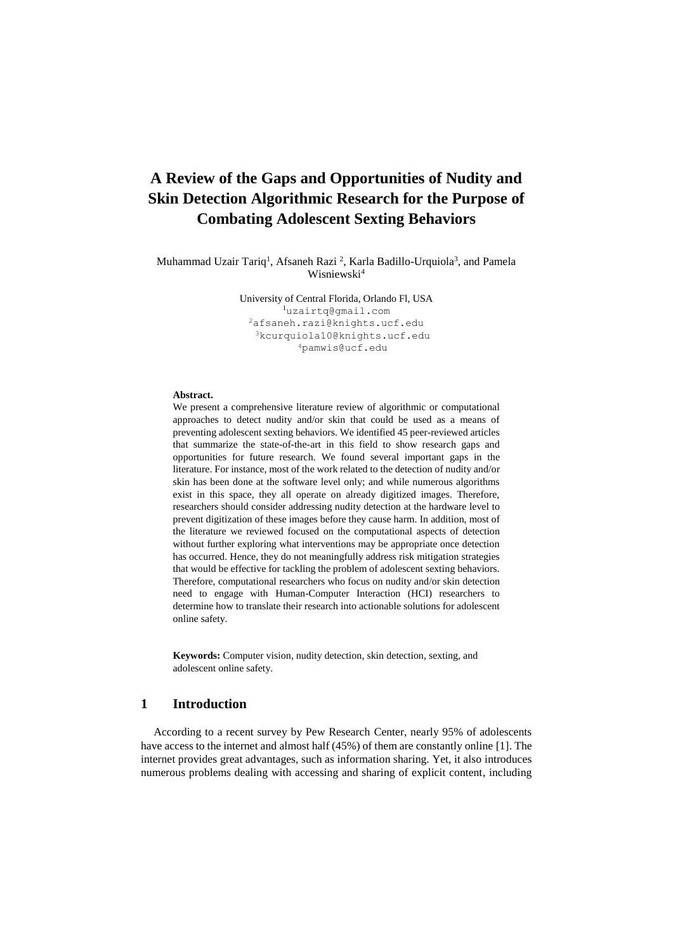# **A Review of the Gaps and Opportunities of Nudity and Skin Detection Algorithmic Research for the Purpose of Combating Adolescent Sexting Behaviors**

Muhammad Uzair Tariq<sup>1</sup>, Afsaneh Razi<sup>2</sup>, Karla Badillo-Urquiola<sup>3</sup>, and Pamela Wisniewski<sup>4</sup>

> University of Central Florida, Orlando Fl, USA [uzairtq@gmail.com](mailto:1uzairtq@gmail.com) [afsaneh.razi@knights.ucf.edu](mailto:afsaneh.razi@knights.ucf.edu) kcurquiola10@knights.ucf.edu pamwis@ucf.edu

#### **Abstract.**

We present a comprehensive literature review of algorithmic or computational approaches to detect nudity and/or skin that could be used as a means of preventing adolescent sexting behaviors. We identified 45 peer-reviewed articles that summarize the state-of-the-art in this field to show research gaps and opportunities for future research. We found several important gaps in the literature. For instance, most of the work related to the detection of nudity and/or skin has been done at the software level only; and while numerous algorithms exist in this space, they all operate on already digitized images. Therefore, researchers should consider addressing nudity detection at the hardware level to prevent digitization of these images before they cause harm. In addition, most of the literature we reviewed focused on the computational aspects of detection without further exploring what interventions may be appropriate once detection has occurred. Hence, they do not meaningfully address risk mitigation strategies that would be effective for tackling the problem of adolescent sexting behaviors. Therefore, computational researchers who focus on nudity and/or skin detection need to engage with Human-Computer Interaction (HCI) researchers to determine how to translate their research into actionable solutions for adolescent online safety.

**Keywords:** Computer vision, nudity detection, skin detection, sexting, and adolescent online safety.

# **1 Introduction**

According to a recent survey by Pew Research Center, nearly 95% of adolescents have access to the internet and almost half (45%) of them are constantly online [1]. The internet provides great advantages, such as information sharing. Yet, it also introduces numerous problems dealing with accessing and sharing of explicit content, including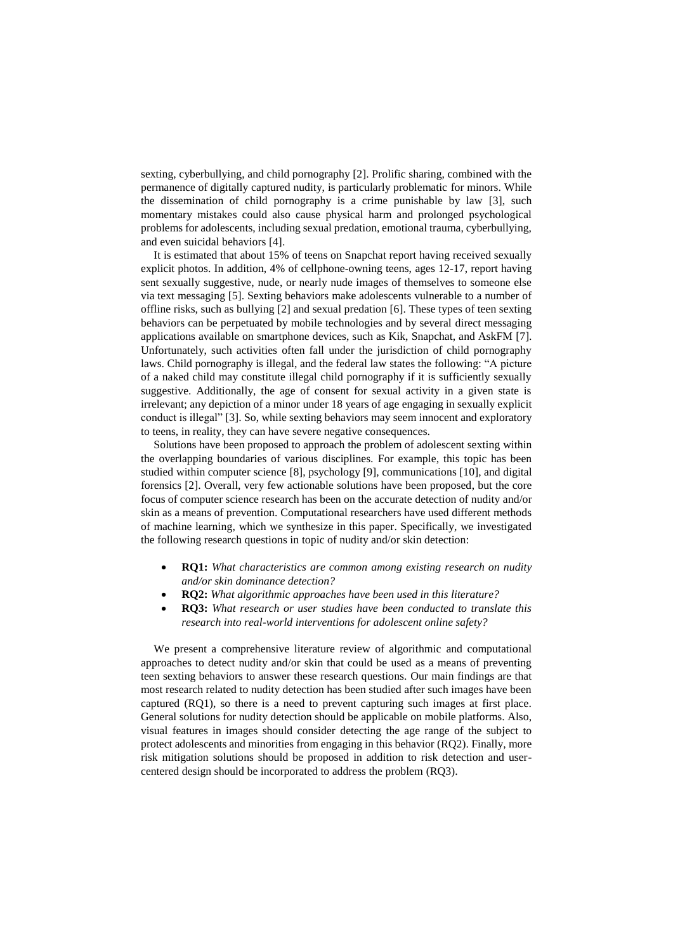sexting, cyberbullying, and child pornography [2]. Prolific sharing, combined with the permanence of digitally captured nudity, is particularly problematic for minors. While the dissemination of child pornography is a crime punishable by law [3], such momentary mistakes could also cause physical harm and prolonged psychological problems for adolescents, including sexual predation, emotional trauma, cyberbullying, and even suicidal behaviors [4].

It is estimated that about 15% of teens on Snapchat report having received sexually explicit photos. In addition, 4% of cellphone-owning teens, ages 12-17, report having sent sexually suggestive, nude, or nearly nude images of themselves to someone else via text messaging [5]. Sexting behaviors make adolescents vulnerable to a number of offline risks, such as bullying [2] and sexual predation [6]. These types of teen sexting behaviors can be perpetuated by mobile technologies and by several direct messaging applications available on smartphone devices, such as Kik, Snapchat, and AskFM [7]. Unfortunately, such activities often fall under the jurisdiction of child pornography laws. Child pornography is illegal, and the federal law states the following: "A picture of a naked child may constitute illegal child pornography if it is sufficiently sexually suggestive. Additionally, the age of consent for sexual activity in a given state is irrelevant; any depiction of a minor under 18 years of age engaging in sexually explicit conduct is illegal" [3]. So, while sexting behaviors may seem innocent and exploratory to teens, in reality, they can have severe negative consequences.

Solutions have been proposed to approach the problem of adolescent sexting within the overlapping boundaries of various disciplines. For example, this topic has been studied within computer science [8], psychology [9], communications [10], and digital forensics [2]. Overall, very few actionable solutions have been proposed, but the core focus of computer science research has been on the accurate detection of nudity and/or skin as a means of prevention. Computational researchers have used different methods of machine learning, which we synthesize in this paper. Specifically, we investigated the following research questions in topic of nudity and/or skin detection:

- **RQ1:** *What characteristics are common among existing research on nudity and/or skin dominance detection?*
- **RQ2:** *What algorithmic approaches have been used in this literature?*
- **RQ3:** *What research or user studies have been conducted to translate this research into real-world interventions for adolescent online safety?*

We present a comprehensive literature review of algorithmic and computational approaches to detect nudity and/or skin that could be used as a means of preventing teen sexting behaviors to answer these research questions. Our main findings are that most research related to nudity detection has been studied after such images have been captured (RQ1), so there is a need to prevent capturing such images at first place. General solutions for nudity detection should be applicable on mobile platforms. Also, visual features in images should consider detecting the age range of the subject to protect adolescents and minorities from engaging in this behavior (RQ2). Finally, more risk mitigation solutions should be proposed in addition to risk detection and usercentered design should be incorporated to address the problem (RQ3).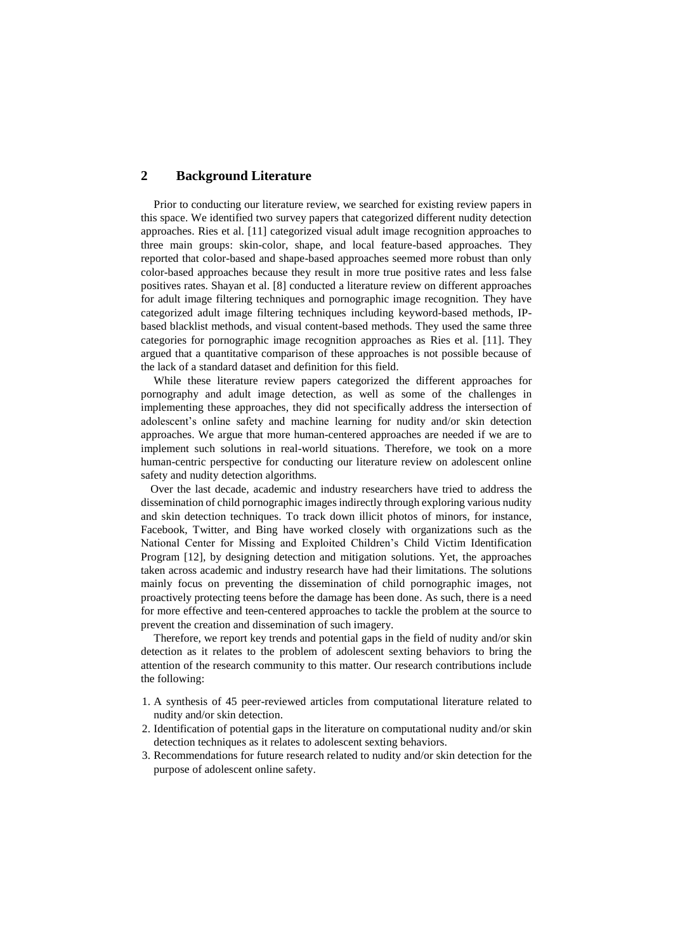# **2 Background Literature**

Prior to conducting our literature review, we searched for existing review papers in this space. We identified two survey papers that categorized different nudity detection approaches. Ries et al. [11] categorized visual adult image recognition approaches to three main groups: skin-color, shape, and local feature-based approaches. They reported that color-based and shape-based approaches seemed more robust than only color-based approaches because they result in more true positive rates and less false positives rates. Shayan et al. [8] conducted a literature review on different approaches for adult image filtering techniques and pornographic image recognition. They have categorized adult image filtering techniques including keyword-based methods, IPbased blacklist methods, and visual content-based methods. They used the same three categories for pornographic image recognition approaches as Ries et al. [11]. They argued that a quantitative comparison of these approaches is not possible because of the lack of a standard dataset and definition for this field.

While these literature review papers categorized the different approaches for pornography and adult image detection, as well as some of the challenges in implementing these approaches, they did not specifically address the intersection of adolescent's online safety and machine learning for nudity and/or skin detection approaches. We argue that more human-centered approaches are needed if we are to implement such solutions in real-world situations. Therefore, we took on a more human-centric perspective for conducting our literature review on adolescent online safety and nudity detection algorithms.

Over the last decade, academic and industry researchers have tried to address the dissemination of child pornographic imagesindirectly through exploring various nudity and skin detection techniques. To track down illicit photos of minors, for instance, Facebook, Twitter, and Bing have worked closely with organizations such as the National Center for Missing and Exploited Children's Child Victim Identification Program [12], by designing detection and mitigation solutions. Yet, the approaches taken across academic and industry research have had their limitations. The solutions mainly focus on preventing the dissemination of child pornographic images, not proactively protecting teens before the damage has been done. As such, there is a need for more effective and teen-centered approaches to tackle the problem at the source to prevent the creation and dissemination of such imagery.

Therefore, we report key trends and potential gaps in the field of nudity and/or skin detection as it relates to the problem of adolescent sexting behaviors to bring the attention of the research community to this matter. Our research contributions include the following:

- 1. A synthesis of 45 peer-reviewed articles from computational literature related to nudity and/or skin detection.
- 2. Identification of potential gaps in the literature on computational nudity and/or skin detection techniques as it relates to adolescent sexting behaviors.
- 3. Recommendations for future research related to nudity and/or skin detection for the purpose of adolescent online safety.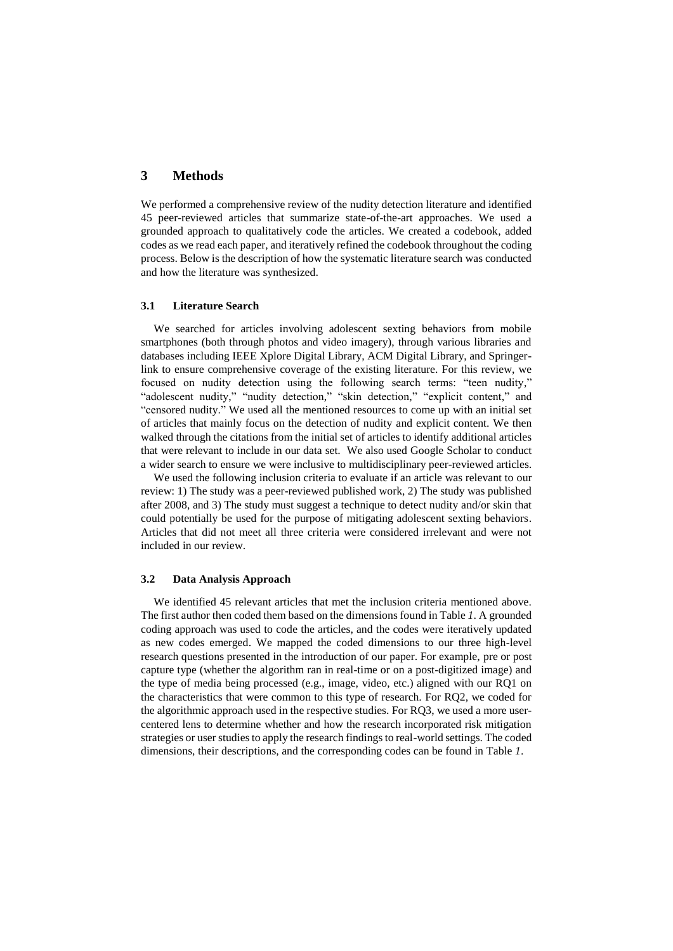# **3 Methods**

We performed a comprehensive review of the nudity detection literature and identified 45 peer-reviewed articles that summarize state-of-the-art approaches. We used a grounded approach to qualitatively code the articles. We created a codebook, added codes as we read each paper, and iteratively refined the codebook throughout the coding process. Below is the description of how the systematic literature search was conducted and how the literature was synthesized.

#### **3.1 Literature Search**

We searched for articles involving adolescent sexting behaviors from mobile smartphones (both through photos and video imagery), through various libraries and databases including IEEE Xplore Digital Library, ACM Digital Library, and Springerlink to ensure comprehensive coverage of the existing literature. For this review, we focused on nudity detection using the following search terms: "teen nudity," "adolescent nudity," "nudity detection," "skin detection," "explicit content," and "censored nudity." We used all the mentioned resources to come up with an initial set of articles that mainly focus on the detection of nudity and explicit content. We then walked through the citations from the initial set of articles to identify additional articles that were relevant to include in our data set. We also used Google Scholar to conduct a wider search to ensure we were inclusive to multidisciplinary peer-reviewed articles.

We used the following inclusion criteria to evaluate if an article was relevant to our review: 1) The study was a peer-reviewed published work, 2) The study was published after 2008, and 3) The study must suggest a technique to detect nudity and/or skin that could potentially be used for the purpose of mitigating adolescent sexting behaviors. Articles that did not meet all three criteria were considered irrelevant and were not included in our review.

#### **3.2 Data Analysis Approach**

We identified 45 relevant articles that met the inclusion criteria mentioned above. The first author then coded them based on the dimensions found i[n Table](#page-4-0) *1*. A grounded coding approach was used to code the articles, and the codes were iteratively updated as new codes emerged. We mapped the coded dimensions to our three high-level research questions presented in the introduction of our paper. For example, pre or post capture type (whether the algorithm ran in real-time or on a post-digitized image) and the type of media being processed (e.g., image, video, etc.) aligned with our RQ1 on the characteristics that were common to this type of research. For RQ2, we coded for the algorithmic approach used in the respective studies. For RQ3, we used a more usercentered lens to determine whether and how the research incorporated risk mitigation strategies or user studies to apply the research findings to real-world settings. The coded dimensions, their descriptions, and the corresponding codes can be found in [Table](#page-4-0) *1*.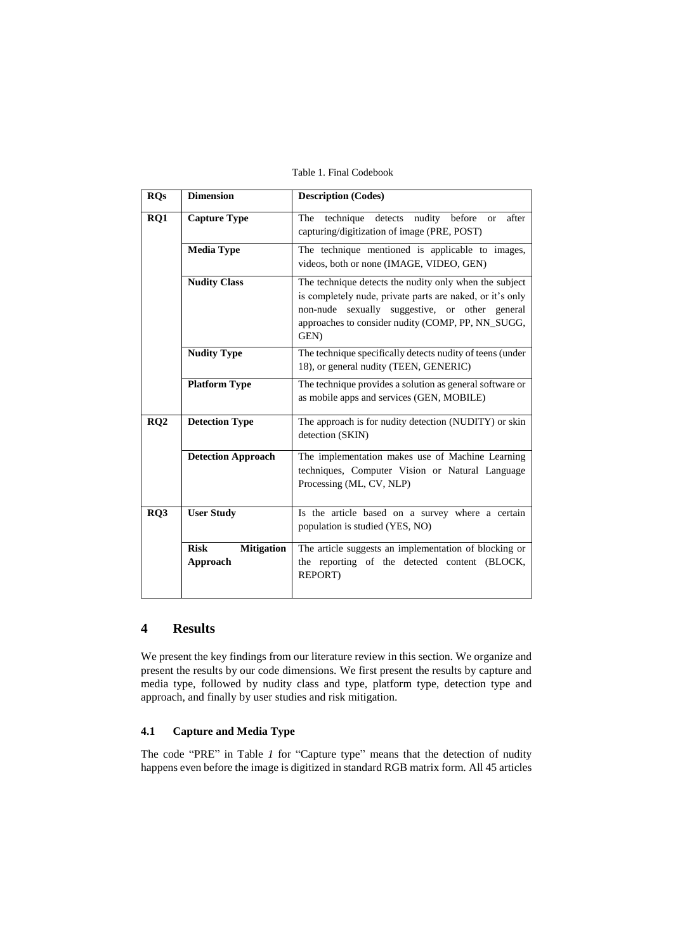Table 1. Final Codebook

<span id="page-4-0"></span>

| <b>RQs</b> | <b>Dimension</b>                                    | <b>Description (Codes)</b>                                                                                                                                                                                                         |
|------------|-----------------------------------------------------|------------------------------------------------------------------------------------------------------------------------------------------------------------------------------------------------------------------------------------|
| RQ1        | <b>Capture Type</b>                                 | technique<br>detects<br>nudity before<br>after<br>The<br><b>or</b><br>capturing/digitization of image (PRE, POST)                                                                                                                  |
|            | <b>Media Type</b>                                   | The technique mentioned is applicable to images,<br>videos, both or none (IMAGE, VIDEO, GEN)                                                                                                                                       |
|            | <b>Nudity Class</b>                                 | The technique detects the nudity only when the subject<br>is completely nude, private parts are naked, or it's only<br>non-nude sexually suggestive, or other general<br>approaches to consider nudity (COMP, PP, NN_SUGG,<br>GEN) |
|            | <b>Nudity Type</b>                                  | The technique specifically detects nudity of teens (under<br>18), or general nudity (TEEN, GENERIC)                                                                                                                                |
|            | <b>Platform Type</b>                                | The technique provides a solution as general software or<br>as mobile apps and services (GEN, MOBILE)                                                                                                                              |
| RO2        | <b>Detection Type</b>                               | The approach is for nudity detection (NUDITY) or skin<br>detection (SKIN)                                                                                                                                                          |
|            | <b>Detection Approach</b>                           | The implementation makes use of Machine Learning<br>techniques, Computer Vision or Natural Language<br>Processing (ML, CV, NLP)                                                                                                    |
| RQ3        | <b>User Study</b>                                   | Is the article based on a survey where a certain<br>population is studied (YES, NO)                                                                                                                                                |
|            | <b>Risk</b><br><b>Mitigation</b><br><b>Approach</b> | The article suggests an implementation of blocking or<br>the reporting of the detected content (BLOCK,<br>REPORT)                                                                                                                  |

# **4 Results**

We present the key findings from our literature review in this section. We organize and present the results by our code dimensions. We first present the results by capture and media type, followed by nudity class and type, platform type, detection type and approach, and finally by user studies and risk mitigation.

# **4.1 Capture and Media Type**

The code "PRE" in [Table](#page-4-0) *1* for "Capture type" means that the detection of nudity happens even before the image is digitized in standard RGB matrix form. All 45 articles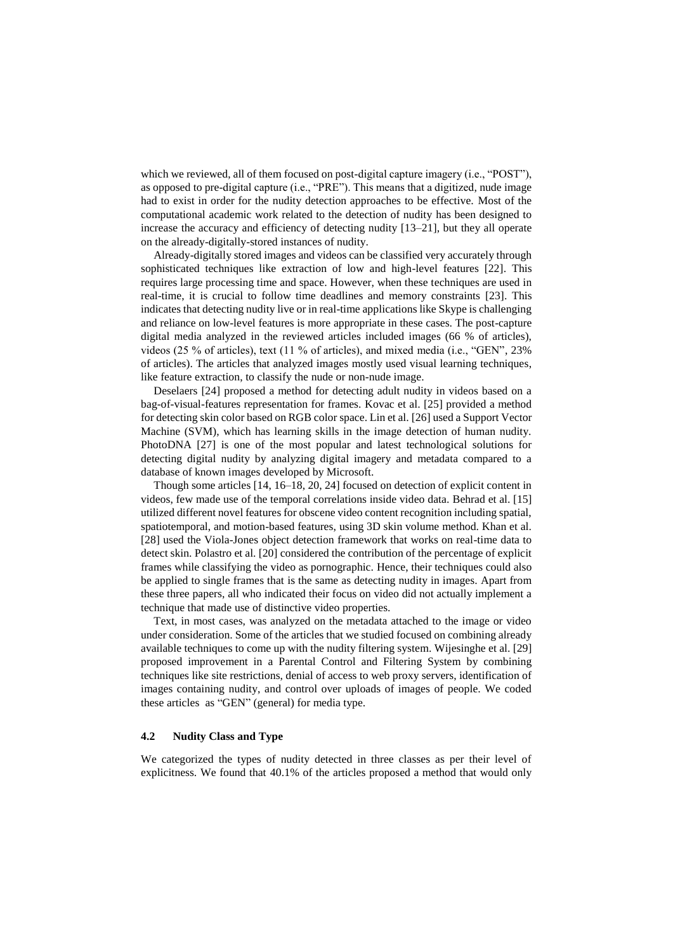which we reviewed, all of them focused on post-digital capture imagery (i.e., "POST"), as opposed to pre-digital capture (i.e., "PRE"). This means that a digitized, nude image had to exist in order for the nudity detection approaches to be effective. Most of the computational academic work related to the detection of nudity has been designed to increase the accuracy and efficiency of detecting nudity [13–21], but they all operate on the already-digitally-stored instances of nudity.

Already-digitally stored images and videos can be classified very accurately through sophisticated techniques like extraction of low and high-level features [22]. This requires large processing time and space. However, when these techniques are used in real-time, it is crucial to follow time deadlines and memory constraints [23]. This indicates that detecting nudity live or in real-time applications like Skype is challenging and reliance on low-level features is more appropriate in these cases. The post-capture digital media analyzed in the reviewed articles included images (66 % of articles), videos (25 % of articles), text (11 % of articles), and mixed media (i.e., "GEN", 23% of articles). The articles that analyzed images mostly used visual learning techniques, like feature extraction, to classify the nude or non-nude image.

Deselaers [24] proposed a method for detecting adult nudity in videos based on a bag-of-visual-features representation for frames. Kovac et al. [25] provided a method for detecting skin color based on RGB color space. Lin et al. [26] used a Support Vector Machine (SVM), which has learning skills in the image detection of human nudity. PhotoDNA [27] is one of the most popular and latest technological solutions for detecting digital nudity by analyzing digital imagery and metadata compared to a database of known images developed by Microsoft.

Though some articles [14, 16–18, 20, 24] focused on detection of explicit content in videos, few made use of the temporal correlations inside video data. Behrad et al. [15] utilized different novel features for obscene video content recognition including spatial, spatiotemporal, and motion-based features, using 3D skin volume method. Khan et al. [28] used the Viola-Jones object detection framework that works on real-time data to detect skin. Polastro et al. [20] considered the contribution of the percentage of explicit frames while classifying the video as pornographic. Hence, their techniques could also be applied to single frames that is the same as detecting nudity in images. Apart from these three papers, all who indicated their focus on video did not actually implement a technique that made use of distinctive video properties.

Text, in most cases, was analyzed on the metadata attached to the image or video under consideration. Some of the articles that we studied focused on combining already available techniques to come up with the nudity filtering system. Wijesinghe et al. [29] proposed improvement in a Parental Control and Filtering System by combining techniques like site restrictions, denial of access to web proxy servers, identification of images containing nudity, and control over uploads of images of people. We coded these articles as "GEN" (general) for media type.

## **4.2 Nudity Class and Type**

We categorized the types of nudity detected in three classes as per their level of explicitness. We found that 40.1% of the articles proposed a method that would only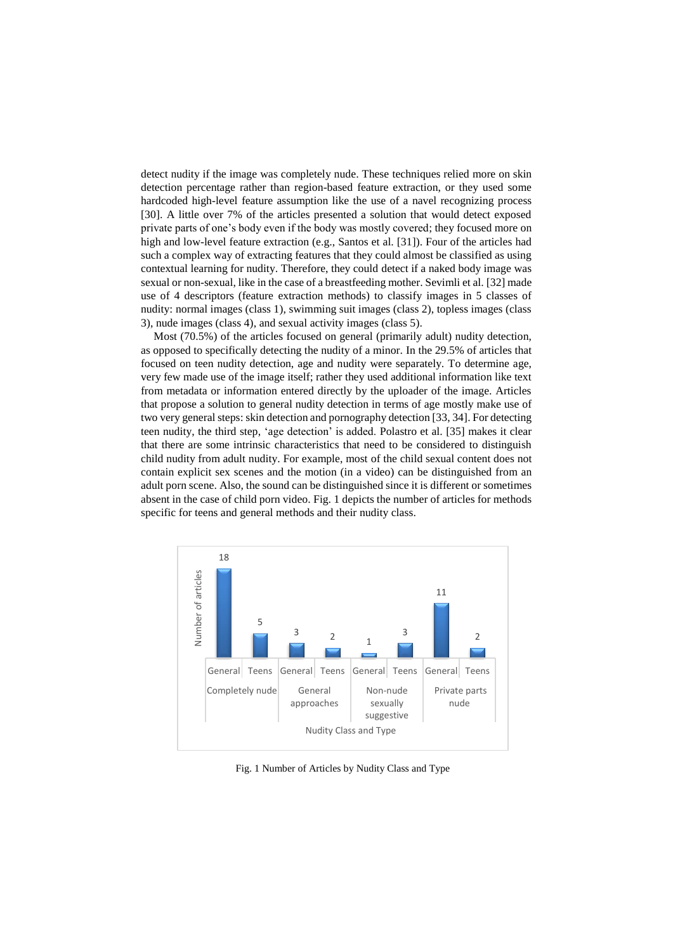detect nudity if the image was completely nude. These techniques relied more on skin detection percentage rather than region-based feature extraction, or they used some hardcoded high-level feature assumption like the use of a navel recognizing process [30]. A little over 7% of the articles presented a solution that would detect exposed private parts of one's body even if the body was mostly covered; they focused more on high and low-level feature extraction (e.g., Santos et al. [31]). Four of the articles had such a complex way of extracting features that they could almost be classified as using contextual learning for nudity. Therefore, they could detect if a naked body image was sexual or non-sexual, like in the case of a breastfeeding mother. Sevimli et al. [32] made use of 4 descriptors (feature extraction methods) to classify images in 5 classes of nudity: normal images (class 1), swimming suit images (class 2), topless images (class 3), nude images (class 4), and sexual activity images (class 5).

Most (70.5%) of the articles focused on general (primarily adult) nudity detection, as opposed to specifically detecting the nudity of a minor. In the 29.5% of articles that focused on teen nudity detection, age and nudity were separately. To determine age, very few made use of the image itself; rather they used additional information like text from metadata or information entered directly by the uploader of the image. Articles that propose a solution to general nudity detection in terms of age mostly make use of two very general steps: skin detection and pornography detection [33, 34]. For detecting teen nudity, the third step, 'age detection' is added. Polastro et al. [35] makes it clear that there are some intrinsic characteristics that need to be considered to distinguish child nudity from adult nudity. For example, most of the child sexual content does not contain explicit sex scenes and the motion (in a video) can be distinguished from an adult porn scene. Also, the sound can be distinguished since it is different or sometimes absent in the case of child porn video. [Fig. 1](#page-6-0) depicts the number of articles for methods specific for teens and general methods and their nudity class.



<span id="page-6-0"></span>Fig. 1 Number of Articles by Nudity Class and Type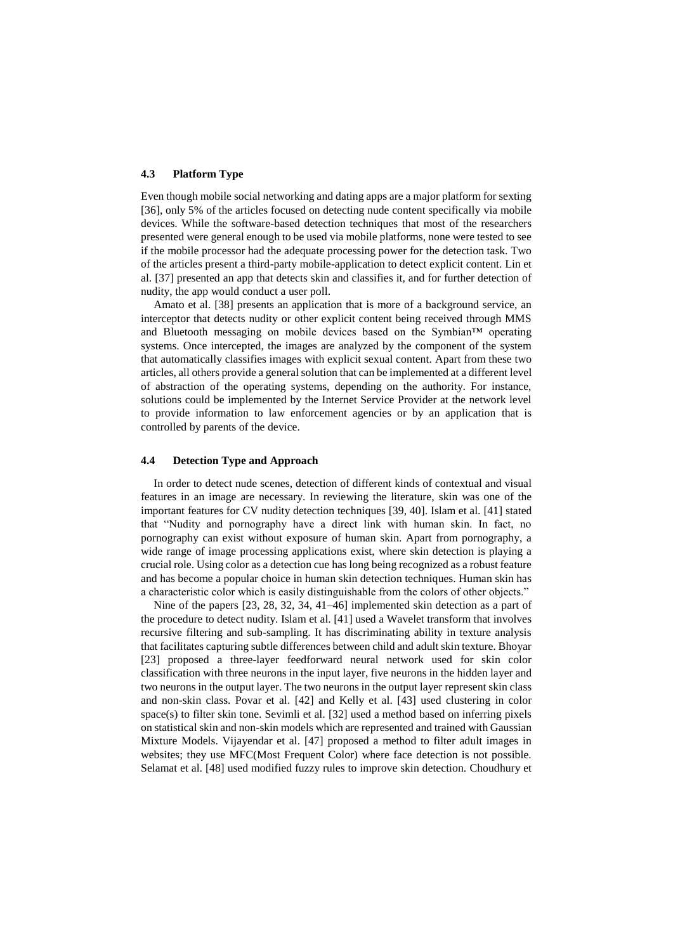#### **4.3 Platform Type**

Even though mobile social networking and dating apps are a major platform for sexting [36], only 5% of the articles focused on detecting nude content specifically via mobile devices. While the software-based detection techniques that most of the researchers presented were general enough to be used via mobile platforms, none were tested to see if the mobile processor had the adequate processing power for the detection task. Two of the articles present a third-party mobile-application to detect explicit content. Lin et al. [37] presented an app that detects skin and classifies it, and for further detection of nudity, the app would conduct a user poll.

Amato et al. [38] presents an application that is more of a background service, an interceptor that detects nudity or other explicit content being received through MMS and Bluetooth messaging on mobile devices based on the Symbian™ operating systems. Once intercepted, the images are analyzed by the component of the system that automatically classifies images with explicit sexual content. Apart from these two articles, all others provide a general solution that can be implemented at a different level of abstraction of the operating systems, depending on the authority. For instance, solutions could be implemented by the Internet Service Provider at the network level to provide information to law enforcement agencies or by an application that is controlled by parents of the device.

#### **4.4 Detection Type and Approach**

In order to detect nude scenes, detection of different kinds of contextual and visual features in an image are necessary. In reviewing the literature, skin was one of the important features for CV nudity detection techniques [39, 40]. Islam et al. [41] stated that "Nudity and pornography have a direct link with human skin. In fact, no pornography can exist without exposure of human skin. Apart from pornography, a wide range of image processing applications exist, where skin detection is playing a crucial role. Using color as a detection cue has long being recognized as a robust feature and has become a popular choice in human skin detection techniques. Human skin has a characteristic color which is easily distinguishable from the colors of other objects."

Nine of the papers [23, 28, 32, 34, 41–46] implemented skin detection as a part of the procedure to detect nudity. Islam et al. [41] used a Wavelet transform that involves recursive filtering and sub-sampling. It has discriminating ability in texture analysis that facilitates capturing subtle differences between child and adult skin texture. Bhoyar [23] proposed a three-layer feedforward neural network used for skin color classification with three neurons in the input layer, five neurons in the hidden layer and two neurons in the output layer. The two neurons in the output layer represent skin class and non-skin class. Povar et al. [42] and Kelly et al. [43] used clustering in color space(s) to filter skin tone. Sevimli et al. [32] used a method based on inferring pixels on statistical skin and non-skin models which are represented and trained with Gaussian Mixture Models. Vijayendar et al. [47] proposed a method to filter adult images in websites; they use MFC(Most Frequent Color) where face detection is not possible. Selamat et al. [48] used modified fuzzy rules to improve skin detection. Choudhury et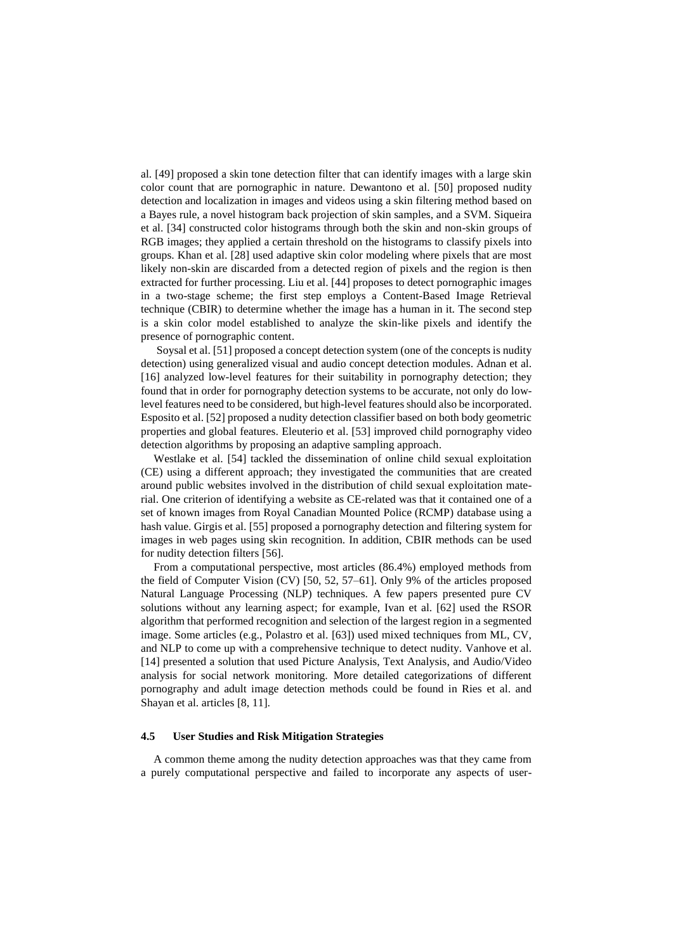al. [49] proposed a skin tone detection filter that can identify images with a large skin color count that are pornographic in nature. Dewantono et al. [50] proposed nudity detection and localization in images and videos using a skin filtering method based on a Bayes rule, a novel histogram back projection of skin samples, and a SVM. Siqueira et al. [34] constructed color histograms through both the skin and non-skin groups of RGB images; they applied a certain threshold on the histograms to classify pixels into groups. Khan et al. [28] used adaptive skin color modeling where pixels that are most likely non-skin are discarded from a detected region of pixels and the region is then extracted for further processing. Liu et al. [44] proposes to detect pornographic images in a two-stage scheme; the first step employs a Content-Based Image Retrieval technique (CBIR) to determine whether the image has a human in it. The second step is a skin color model established to analyze the skin-like pixels and identify the presence of pornographic content.

Soysal et al. [51] proposed a concept detection system (one of the concepts is nudity detection) using generalized visual and audio concept detection modules. Adnan et al. [16] analyzed low-level features for their suitability in pornography detection; they found that in order for pornography detection systems to be accurate, not only do lowlevel features need to be considered, but high-level features should also be incorporated. Esposito et al. [52] proposed a nudity detection classifier based on both body geometric properties and global features. Eleuterio et al. [53] improved child pornography video detection algorithms by proposing an adaptive sampling approach.

Westlake et al. [54] tackled the dissemination of online child sexual exploitation (CE) using a different approach; they investigated the communities that are created around public websites involved in the distribution of child sexual exploitation material. One criterion of identifying a website as CE-related was that it contained one of a set of known images from Royal Canadian Mounted Police (RCMP) database using a hash value. Girgis et al. [55] proposed a pornography detection and filtering system for images in web pages using skin recognition. In addition, CBIR methods can be used for nudity detection filters [56].

From a computational perspective, most articles (86.4%) employed methods from the field of Computer Vision (CV) [50, 52, 57–61]. Only 9% of the articles proposed Natural Language Processing (NLP) techniques. A few papers presented pure CV solutions without any learning aspect; for example, Ivan et al. [62] used the RSOR algorithm that performed recognition and selection of the largest region in a segmented image. Some articles (e.g., Polastro et al. [63]) used mixed techniques from ML, CV, and NLP to come up with a comprehensive technique to detect nudity. Vanhove et al. [14] presented a solution that used Picture Analysis, Text Analysis, and Audio/Video analysis for social network monitoring. More detailed categorizations of different pornography and adult image detection methods could be found in Ries et al. and Shayan et al. articles [8, 11].

#### **4.5 User Studies and Risk Mitigation Strategies**

A common theme among the nudity detection approaches was that they came from a purely computational perspective and failed to incorporate any aspects of user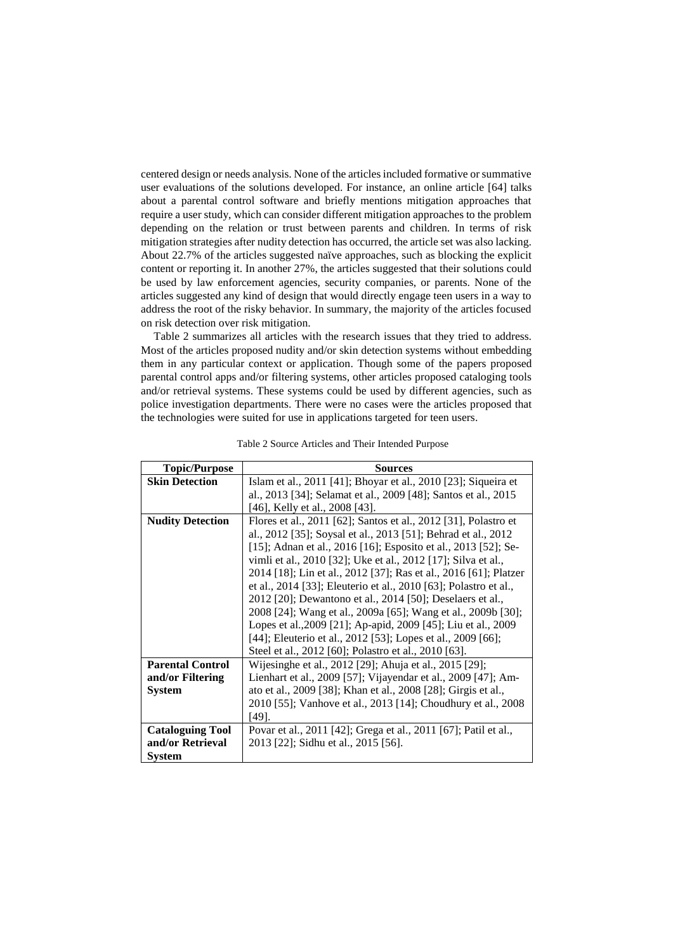centered design or needs analysis. None of the articles included formative or summative user evaluations of the solutions developed. For instance, an online article [64] talks about a parental control software and briefly mentions mitigation approaches that require a user study, which can consider different mitigation approaches to the problem depending on the relation or trust between parents and children. In terms of risk mitigation strategies after nudity detection has occurred, the article set was also lacking. About 22.7% of the articles suggested naïve approaches, such as blocking the explicit content or reporting it. In another 27%, the articles suggested that their solutions could be used by law enforcement agencies, security companies, or parents. None of the articles suggested any kind of design that would directly engage teen users in a way to address the root of the risky behavior. In summary, the majority of the articles focused on risk detection over risk mitigation.

[Table 2](#page-9-0) summarizes all articles with the research issues that they tried to address. Most of the articles proposed nudity and/or skin detection systems without embedding them in any particular context or application. Though some of the papers proposed parental control apps and/or filtering systems, other articles proposed cataloging tools and/or retrieval systems. These systems could be used by different agencies, such as police investigation departments. There were no cases were the articles proposed that the technologies were suited for use in applications targeted for teen users.

<span id="page-9-0"></span>

| <b>Topic/Purpose</b>    | <b>Sources</b>                                                   |
|-------------------------|------------------------------------------------------------------|
| <b>Skin Detection</b>   | Islam et al., 2011 [41]; Bhoyar et al., 2010 [23]; Siqueira et   |
|                         | al., 2013 [34]; Selamat et al., 2009 [48]; Santos et al., 2015   |
|                         | [46], Kelly et al., 2008 [43].                                   |
| <b>Nudity Detection</b> | Flores et al., 2011 [62]; Santos et al., 2012 [31], Polastro et  |
|                         | al., 2012 [35]; Soysal et al., 2013 [51]; Behrad et al., 2012    |
|                         | [15]; Adnan et al., 2016 [16]; Esposito et al., 2013 [52]; Se-   |
|                         | vimli et al., 2010 [32]; Uke et al., 2012 [17]; Silva et al.,    |
|                         | 2014 [18]; Lin et al., 2012 [37]; Ras et al., 2016 [61]; Platzer |
|                         | et al., 2014 [33]; Eleuterio et al., 2010 [63]; Polastro et al., |
|                         | 2012 [20]; Dewantono et al., 2014 [50]; Deselaers et al.,        |
|                         | 2008 [24]; Wang et al., 2009a [65]; Wang et al., 2009b [30];     |
|                         | Lopes et al., 2009 [21]; Ap-apid, 2009 [45]; Liu et al., 2009    |
|                         | [44]; Eleuterio et al., 2012 [53]; Lopes et al., 2009 [66];      |
|                         | Steel et al., 2012 [60]; Polastro et al., 2010 [63].             |
| <b>Parental Control</b> | Wijesinghe et al., 2012 [29]; Ahuja et al., 2015 [29];           |
| and/or Filtering        | Lienhart et al., 2009 [57]; Vijayendar et al., 2009 [47]; Am-    |
| <b>System</b>           | ato et al., 2009 [38]; Khan et al., 2008 [28]; Girgis et al.,    |
|                         | 2010 [55]; Vanhove et al., 2013 [14]; Choudhury et al., 2008     |
|                         | [49].                                                            |
| <b>Cataloguing Tool</b> | Povar et al., 2011 [42]; Grega et al., 2011 [67]; Patil et al.,  |
| and/or Retrieval        | 2013 [22]; Sidhu et al., 2015 [56].                              |
| <b>System</b>           |                                                                  |

Table 2 Source Articles and Their Intended Purpose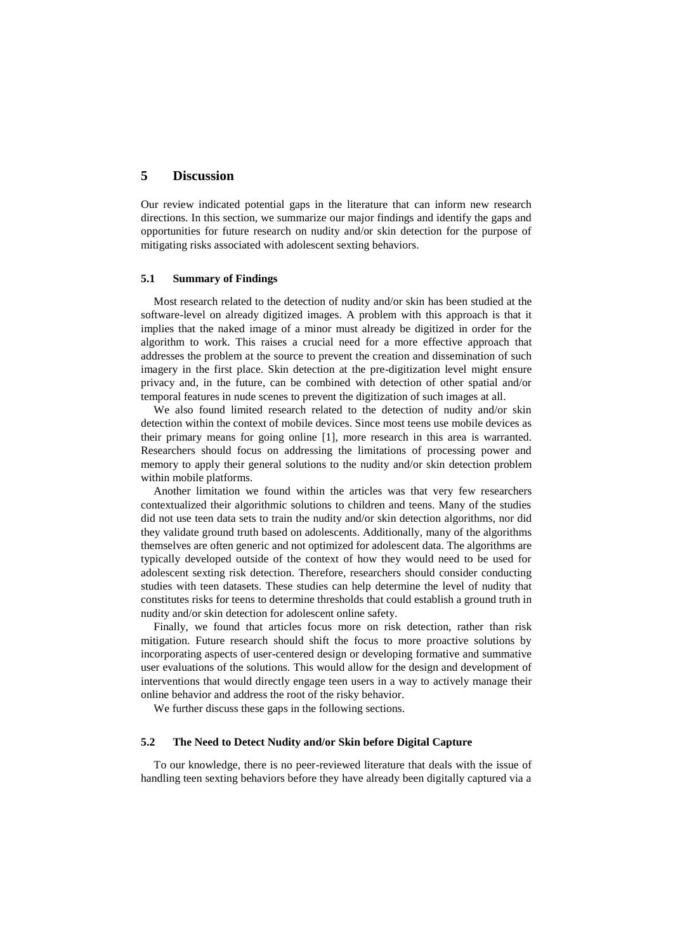# **5 Discussion**

Our review indicated potential gaps in the literature that can inform new research directions. In this section, we summarize our major findings and identify the gaps and opportunities for future research on nudity and/or skin detection for the purpose of mitigating risks associated with adolescent sexting behaviors.

#### **5.1 Summary of Findings**

Most research related to the detection of nudity and/or skin has been studied at the software-level on already digitized images. A problem with this approach is that it implies that the naked image of a minor must already be digitized in order for the algorithm to work. This raises a crucial need for a more effective approach that addresses the problem at the source to prevent the creation and dissemination of such imagery in the first place. Skin detection at the pre-digitization level might ensure privacy and, in the future, can be combined with detection of other spatial and/or temporal features in nude scenes to prevent the digitization of such images at all.

We also found limited research related to the detection of nudity and/or skin detection within the context of mobile devices. Since most teens use mobile devices as their primary means for going online [1], more research in this area is warranted. Researchers should focus on addressing the limitations of processing power and memory to apply their general solutions to the nudity and/or skin detection problem within mobile platforms.

Another limitation we found within the articles was that very few researchers contextualized their algorithmic solutions to children and teens. Many of the studies did not use teen data sets to train the nudity and/or skin detection algorithms, nor did they validate ground truth based on adolescents. Additionally, many of the algorithms themselves are often generic and not optimized for adolescent data. The algorithms are typically developed outside of the context of how they would need to be used for adolescent sexting risk detection. Therefore, researchers should consider conducting studies with teen datasets. These studies can help determine the level of nudity that constitutes risks for teens to determine thresholds that could establish a ground truth in nudity and/or skin detection for adolescent online safety.

Finally, we found that articles focus more on risk detection, rather than risk mitigation. Future research should shift the focus to more proactive solutions by incorporating aspects of user-centered design or developing formative and summative user evaluations of the solutions. This would allow for the design and development of interventions that would directly engage teen users in a way to actively manage their online behavior and address the root of the risky behavior.

We further discuss these gaps in the following sections.

#### **5.2 The Need to Detect Nudity and/or Skin before Digital Capture**

To our knowledge, there is no peer-reviewed literature that deals with the issue of handling teen sexting behaviors before they have already been digitally captured via a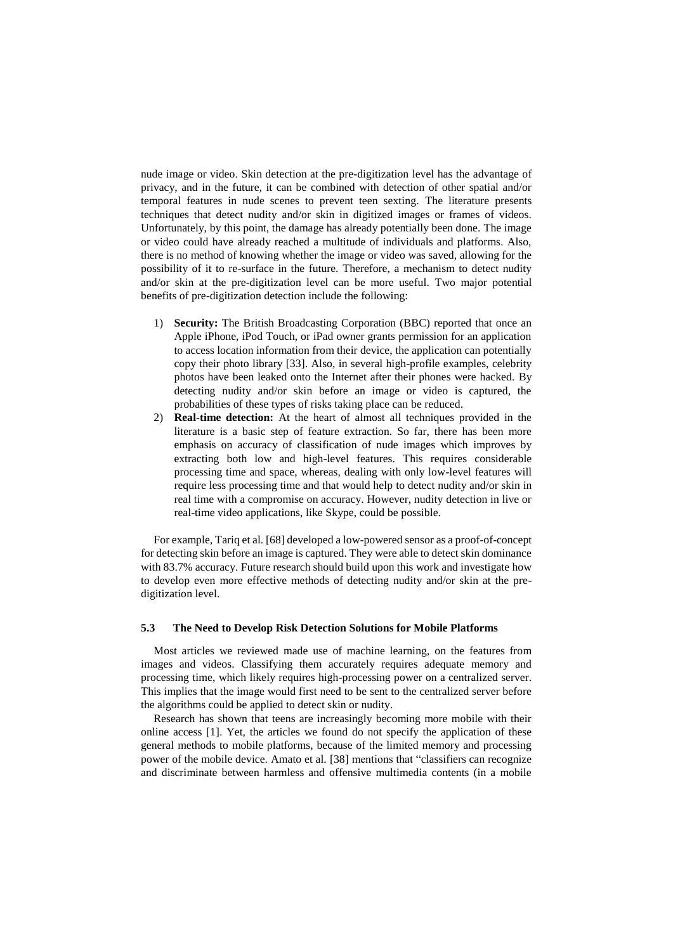nude image or video. Skin detection at the pre-digitization level has the advantage of privacy, and in the future, it can be combined with detection of other spatial and/or temporal features in nude scenes to prevent teen sexting. The literature presents techniques that detect nudity and/or skin in digitized images or frames of videos. Unfortunately, by this point, the damage has already potentially been done. The image or video could have already reached a multitude of individuals and platforms. Also, there is no method of knowing whether the image or video was saved, allowing for the possibility of it to re-surface in the future. Therefore, a mechanism to detect nudity and/or skin at the pre-digitization level can be more useful. Two major potential benefits of pre-digitization detection include the following:

- 1) **Security:** The British Broadcasting Corporation (BBC) reported that once an Apple iPhone, iPod Touch, or iPad owner grants permission for an application to access location information from their device, the application can potentially copy their photo library [33]. Also, in several high-profile examples, celebrity photos have been leaked onto the Internet after their phones were hacked. By detecting nudity and/or skin before an image or video is captured, the probabilities of these types of risks taking place can be reduced.
- 2) **Real-time detection:** At the heart of almost all techniques provided in the literature is a basic step of feature extraction. So far, there has been more emphasis on accuracy of classification of nude images which improves by extracting both low and high-level features. This requires considerable processing time and space, whereas, dealing with only low-level features will require less processing time and that would help to detect nudity and/or skin in real time with a compromise on accuracy. However, nudity detection in live or real-time video applications, like Skype, could be possible.

For example, Tariq et al. [68] developed a low-powered sensor as a proof-of-concept for detecting skin before an image is captured. They were able to detect skin dominance with 83.7% accuracy. Future research should build upon this work and investigate how to develop even more effective methods of detecting nudity and/or skin at the predigitization level.

#### **5.3 The Need to Develop Risk Detection Solutions for Mobile Platforms**

Most articles we reviewed made use of machine learning, on the features from images and videos. Classifying them accurately requires adequate memory and processing time, which likely requires high-processing power on a centralized server. This implies that the image would first need to be sent to the centralized server before the algorithms could be applied to detect skin or nudity.

Research has shown that teens are increasingly becoming more mobile with their online access [1]. Yet, the articles we found do not specify the application of these general methods to mobile platforms, because of the limited memory and processing power of the mobile device. Amato et al. [38] mentions that "classifiers can recognize and discriminate between harmless and offensive multimedia contents (in a mobile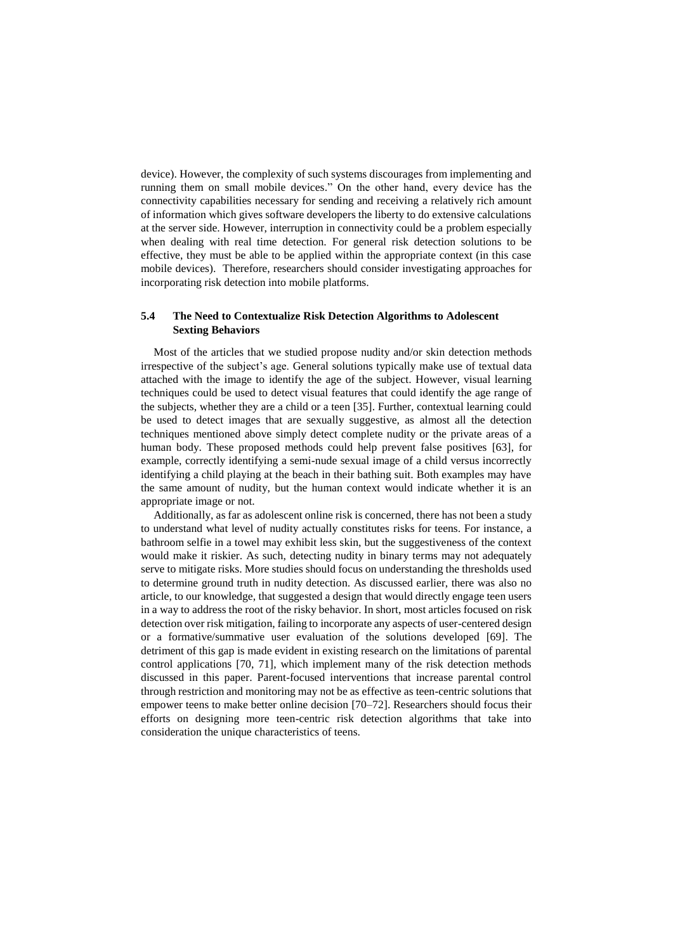device). However, the complexity of such systems discourages from implementing and running them on small mobile devices." On the other hand, every device has the connectivity capabilities necessary for sending and receiving a relatively rich amount of information which gives software developers the liberty to do extensive calculations at the server side. However, interruption in connectivity could be a problem especially when dealing with real time detection. For general risk detection solutions to be effective, they must be able to be applied within the appropriate context (in this case mobile devices). Therefore, researchers should consider investigating approaches for incorporating risk detection into mobile platforms.

#### **5.4 The Need to Contextualize Risk Detection Algorithms to Adolescent Sexting Behaviors**

Most of the articles that we studied propose nudity and/or skin detection methods irrespective of the subject's age. General solutions typically make use of textual data attached with the image to identify the age of the subject. However, visual learning techniques could be used to detect visual features that could identify the age range of the subjects, whether they are a child or a teen [35]. Further, contextual learning could be used to detect images that are sexually suggestive, as almost all the detection techniques mentioned above simply detect complete nudity or the private areas of a human body. These proposed methods could help prevent false positives [63], for example, correctly identifying a semi-nude sexual image of a child versus incorrectly identifying a child playing at the beach in their bathing suit. Both examples may have the same amount of nudity, but the human context would indicate whether it is an appropriate image or not.

Additionally, as far as adolescent online risk is concerned, there has not been a study to understand what level of nudity actually constitutes risks for teens. For instance, a bathroom selfie in a towel may exhibit less skin, but the suggestiveness of the context would make it riskier. As such, detecting nudity in binary terms may not adequately serve to mitigate risks. More studies should focus on understanding the thresholds used to determine ground truth in nudity detection. As discussed earlier, there was also no article, to our knowledge, that suggested a design that would directly engage teen users in a way to address the root of the risky behavior. In short, most articles focused on risk detection over risk mitigation, failing to incorporate any aspects of user-centered design or a formative/summative user evaluation of the solutions developed [69]. The detriment of this gap is made evident in existing research on the limitations of parental control applications [70, 71], which implement many of the risk detection methods discussed in this paper. Parent-focused interventions that increase parental control through restriction and monitoring may not be as effective as teen-centric solutions that empower teens to make better online decision [70–72]. Researchers should focus their efforts on designing more teen-centric risk detection algorithms that take into consideration the unique characteristics of teens.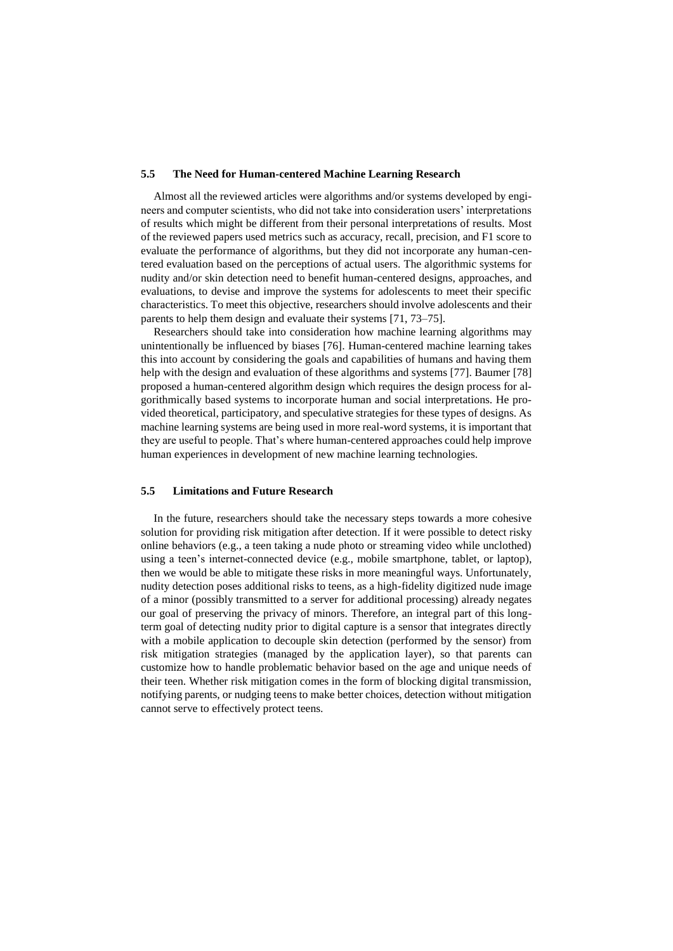#### **5.5 The Need for Human-centered Machine Learning Research**

Almost all the reviewed articles were algorithms and/or systems developed by engineers and computer scientists, who did not take into consideration users' interpretations of results which might be different from their personal interpretations of results. Most of the reviewed papers used metrics such as accuracy, recall, precision, and F1 score to evaluate the performance of algorithms, but they did not incorporate any human-centered evaluation based on the perceptions of actual users. The algorithmic systems for nudity and/or skin detection need to benefit human-centered designs, approaches, and evaluations, to devise and improve the systems for adolescents to meet their specific characteristics. To meet this objective, researchers should involve adolescents and their parents to help them design and evaluate their systems [71, 73–75].

Researchers should take into consideration how machine learning algorithms may unintentionally be influenced by biases [76]. Human-centered machine learning takes this into account by considering the goals and capabilities of humans and having them help with the design and evaluation of these algorithms and systems [77]. Baumer [78] proposed a human-centered algorithm design which requires the design process for algorithmically based systems to incorporate human and social interpretations. He provided theoretical, participatory, and speculative strategies for these types of designs. As machine learning systems are being used in more real-word systems, it is important that they are useful to people. That's where human-centered approaches could help improve human experiences in development of new machine learning technologies.

#### **5.5 Limitations and Future Research**

In the future, researchers should take the necessary steps towards a more cohesive solution for providing risk mitigation after detection. If it were possible to detect risky online behaviors (e.g., a teen taking a nude photo or streaming video while unclothed) using a teen's internet-connected device (e.g., mobile smartphone, tablet, or laptop), then we would be able to mitigate these risks in more meaningful ways. Unfortunately, nudity detection poses additional risks to teens, as a high-fidelity digitized nude image of a minor (possibly transmitted to a server for additional processing) already negates our goal of preserving the privacy of minors. Therefore, an integral part of this longterm goal of detecting nudity prior to digital capture is a sensor that integrates directly with a mobile application to decouple skin detection (performed by the sensor) from risk mitigation strategies (managed by the application layer), so that parents can customize how to handle problematic behavior based on the age and unique needs of their teen. Whether risk mitigation comes in the form of blocking digital transmission, notifying parents, or nudging teens to make better choices, detection without mitigation cannot serve to effectively protect teens.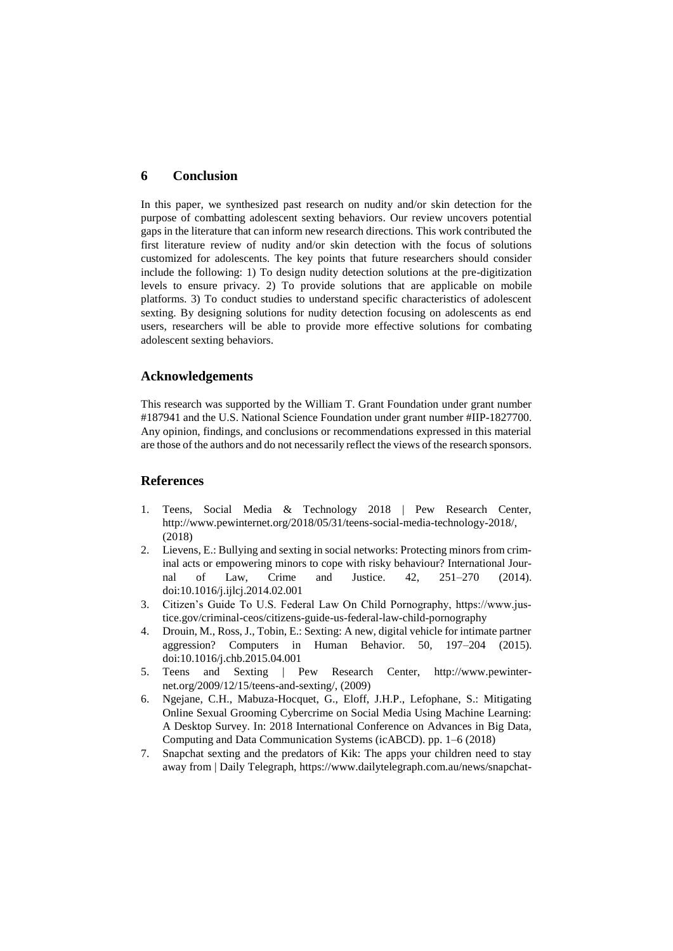# **6 Conclusion**

In this paper, we synthesized past research on nudity and/or skin detection for the purpose of combatting adolescent sexting behaviors. Our review uncovers potential gaps in the literature that can inform new research directions. This work contributed the first literature review of nudity and/or skin detection with the focus of solutions customized for adolescents. The key points that future researchers should consider include the following: 1) To design nudity detection solutions at the pre-digitization levels to ensure privacy. 2) To provide solutions that are applicable on mobile platforms. 3) To conduct studies to understand specific characteristics of adolescent sexting. By designing solutions for nudity detection focusing on adolescents as end users, researchers will be able to provide more effective solutions for combating adolescent sexting behaviors.

## **Acknowledgements**

This research was supported by the William T. Grant Foundation under grant number #187941 and the U.S. National Science Foundation under grant number #IIP-1827700. Any opinion, findings, and conclusions or recommendations expressed in this material are those of the authors and do not necessarily reflect the views of the research sponsors.

# **References**

- 1. Teens, Social Media & Technology 2018 | Pew Research Center, http://www.pewinternet.org/2018/05/31/teens-social-media-technology-2018/, (2018)
- 2. Lievens, E.: Bullying and sexting in social networks: Protecting minors from criminal acts or empowering minors to cope with risky behaviour? International Journal of Law, Crime and Justice. 42, 251–270 (2014). doi:10.1016/j.ijlcj.2014.02.001
- 3. Citizen's Guide To U.S. Federal Law On Child Pornography, https://www.justice.gov/criminal-ceos/citizens-guide-us-federal-law-child-pornography
- 4. Drouin, M., Ross, J., Tobin, E.: Sexting: A new, digital vehicle for intimate partner aggression? Computers in Human Behavior. 50, 197–204 (2015). doi:10.1016/j.chb.2015.04.001
- 5. Teens and Sexting | Pew Research Center, http://www.pewinternet.org/2009/12/15/teens-and-sexting/, (2009)
- 6. Ngejane, C.H., Mabuza-Hocquet, G., Eloff, J.H.P., Lefophane, S.: Mitigating Online Sexual Grooming Cybercrime on Social Media Using Machine Learning: A Desktop Survey. In: 2018 International Conference on Advances in Big Data, Computing and Data Communication Systems (icABCD). pp. 1–6 (2018)
- 7. Snapchat sexting and the predators of Kik: The apps your children need to stay away from | Daily Telegraph, https://www.dailytelegraph.com.au/news/snapchat-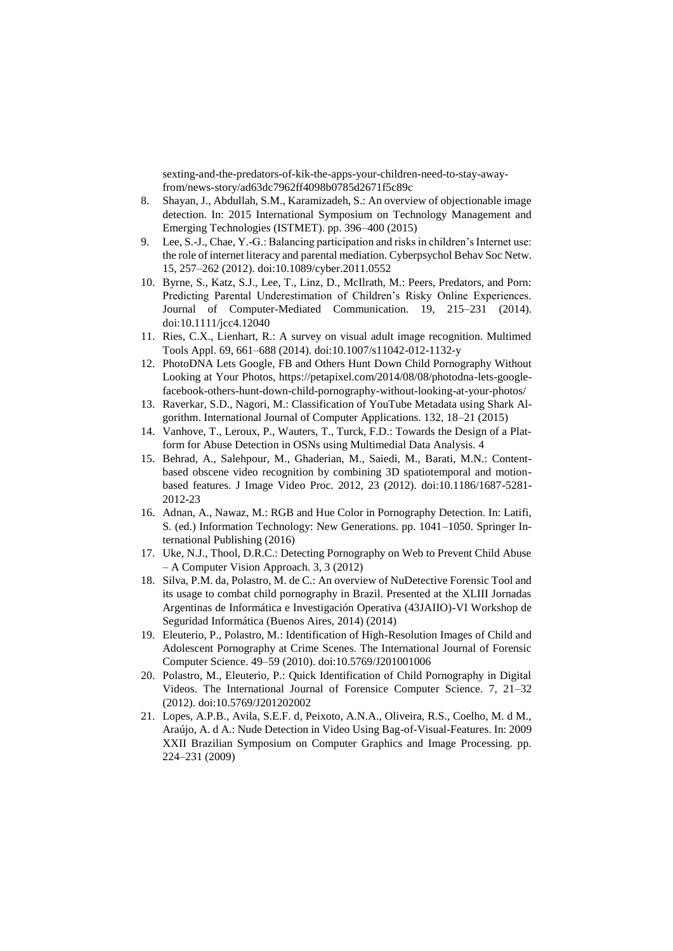sexting-and-the-predators-of-kik-the-apps-your-children-need-to-stay-awayfrom/news-story/ad63dc7962ff4098b0785d2671f5c89c

- 8. Shayan, J., Abdullah, S.M., Karamizadeh, S.: An overview of objectionable image detection. In: 2015 International Symposium on Technology Management and Emerging Technologies (ISTMET). pp. 396–400 (2015)
- 9. Lee, S.-J., Chae, Y.-G.: Balancing participation and risks in children's Internet use: the role of internet literacy and parental mediation. Cyberpsychol Behav Soc Netw. 15, 257–262 (2012). doi:10.1089/cyber.2011.0552
- 10. Byrne, S., Katz, S.J., Lee, T., Linz, D., McIlrath, M.: Peers, Predators, and Porn: Predicting Parental Underestimation of Children's Risky Online Experiences. Journal of Computer-Mediated Communication. 19, 215–231 (2014). doi:10.1111/jcc4.12040
- 11. Ries, C.X., Lienhart, R.: A survey on visual adult image recognition. Multimed Tools Appl. 69, 661–688 (2014). doi:10.1007/s11042-012-1132-y
- 12. PhotoDNA Lets Google, FB and Others Hunt Down Child Pornography Without Looking at Your Photos, https://petapixel.com/2014/08/08/photodna-lets-googlefacebook-others-hunt-down-child-pornography-without-looking-at-your-photos/
- 13. Raverkar, S.D., Nagori, M.: Classification of YouTube Metadata using Shark Algorithm. International Journal of Computer Applications. 132, 18–21 (2015)
- 14. Vanhove, T., Leroux, P., Wauters, T., Turck, F.D.: Towards the Design of a Platform for Abuse Detection in OSNs using Multimedial Data Analysis. 4
- 15. Behrad, A., Salehpour, M., Ghaderian, M., Saiedi, M., Barati, M.N.: Contentbased obscene video recognition by combining 3D spatiotemporal and motionbased features. J Image Video Proc. 2012, 23 (2012). doi:10.1186/1687-5281- 2012-23
- 16. Adnan, A., Nawaz, M.: RGB and Hue Color in Pornography Detection. In: Latifi, S. (ed.) Information Technology: New Generations. pp. 1041–1050. Springer International Publishing (2016)
- 17. Uke, N.J., Thool, D.R.C.: Detecting Pornography on Web to Prevent Child Abuse – A Computer Vision Approach. 3, 3 (2012)
- 18. Silva, P.M. da, Polastro, M. de C.: An overview of NuDetective Forensic Tool and its usage to combat child pornography in Brazil. Presented at the XLIII Jornadas Argentinas de Informática e Investigación Operativa (43JAIIO)-VI Workshop de Seguridad Informática (Buenos Aires, 2014) (2014)
- 19. Eleuterio, P., Polastro, M.: Identification of High-Resolution Images of Child and Adolescent Pornography at Crime Scenes. The International Journal of Forensic Computer Science. 49–59 (2010). doi:10.5769/J201001006
- 20. Polastro, M., Eleuterio, P.: Quick Identification of Child Pornography in Digital Videos. The International Journal of Forensice Computer Science. 7, 21–32 (2012). doi:10.5769/J201202002
- 21. Lopes, A.P.B., Avila, S.E.F. d, Peixoto, A.N.A., Oliveira, R.S., Coelho, M. d M., Araújo, A. d A.: Nude Detection in Video Using Bag-of-Visual-Features. In: 2009 XXII Brazilian Symposium on Computer Graphics and Image Processing. pp. 224–231 (2009)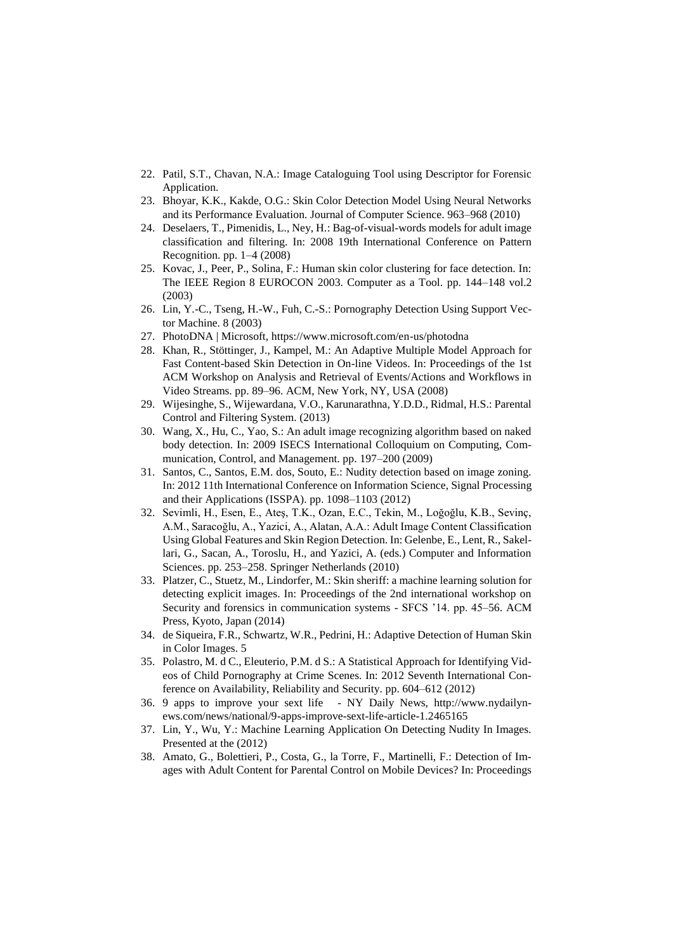- 22. Patil, S.T., Chavan, N.A.: Image Cataloguing Tool using Descriptor for Forensic Application.
- 23. Bhoyar, K.K., Kakde, O.G.: Skin Color Detection Model Using Neural Networks and its Performance Evaluation. Journal of Computer Science. 963–968 (2010)
- 24. Deselaers, T., Pimenidis, L., Ney, H.: Bag-of-visual-words models for adult image classification and filtering. In: 2008 19th International Conference on Pattern Recognition. pp. 1–4 (2008)
- 25. Kovac, J., Peer, P., Solina, F.: Human skin color clustering for face detection. In: The IEEE Region 8 EUROCON 2003. Computer as a Tool. pp. 144–148 vol.2 (2003)
- 26. Lin, Y.-C., Tseng, H.-W., Fuh, C.-S.: Pornography Detection Using Support Vector Machine. 8 (2003)
- 27. PhotoDNA | Microsoft, https://www.microsoft.com/en-us/photodna
- 28. Khan, R., Stöttinger, J., Kampel, M.: An Adaptive Multiple Model Approach for Fast Content-based Skin Detection in On-line Videos. In: Proceedings of the 1st ACM Workshop on Analysis and Retrieval of Events/Actions and Workflows in Video Streams. pp. 89–96. ACM, New York, NY, USA (2008)
- 29. Wijesinghe, S., Wijewardana, V.O., Karunarathna, Y.D.D., Ridmal, H.S.: Parental Control and Filtering System. (2013)
- 30. Wang, X., Hu, C., Yao, S.: An adult image recognizing algorithm based on naked body detection. In: 2009 ISECS International Colloquium on Computing, Communication, Control, and Management. pp. 197–200 (2009)
- 31. Santos, C., Santos, E.M. dos, Souto, E.: Nudity detection based on image zoning. In: 2012 11th International Conference on Information Science, Signal Processing and their Applications (ISSPA). pp. 1098–1103 (2012)
- 32. Sevimli, H., Esen, E., Ateş, T.K., Ozan, E.C., Tekin, M., Loğoğlu, K.B., Sevinç, A.M., Saracoğlu, A., Yazici, A., Alatan, A.A.: Adult Image Content Classification Using Global Features and Skin Region Detection. In: Gelenbe, E., Lent, R., Sakellari, G., Sacan, A., Toroslu, H., and Yazici, A. (eds.) Computer and Information Sciences. pp. 253–258. Springer Netherlands (2010)
- 33. Platzer, C., Stuetz, M., Lindorfer, M.: Skin sheriff: a machine learning solution for detecting explicit images. In: Proceedings of the 2nd international workshop on Security and forensics in communication systems - SFCS '14. pp. 45–56. ACM Press, Kyoto, Japan (2014)
- 34. de Siqueira, F.R., Schwartz, W.R., Pedrini, H.: Adaptive Detection of Human Skin in Color Images. 5
- 35. Polastro, M. d C., Eleuterio, P.M. d S.: A Statistical Approach for Identifying Videos of Child Pornography at Crime Scenes. In: 2012 Seventh International Conference on Availability, Reliability and Security. pp. 604–612 (2012)
- 36. 9 apps to improve your sext life NY Daily News, http://www.nydailynews.com/news/national/9-apps-improve-sext-life-article-1.2465165
- 37. Lin, Y., Wu, Y.: Machine Learning Application On Detecting Nudity In Images. Presented at the (2012)
- 38. Amato, G., Bolettieri, P., Costa, G., la Torre, F., Martinelli, F.: Detection of Images with Adult Content for Parental Control on Mobile Devices? In: Proceedings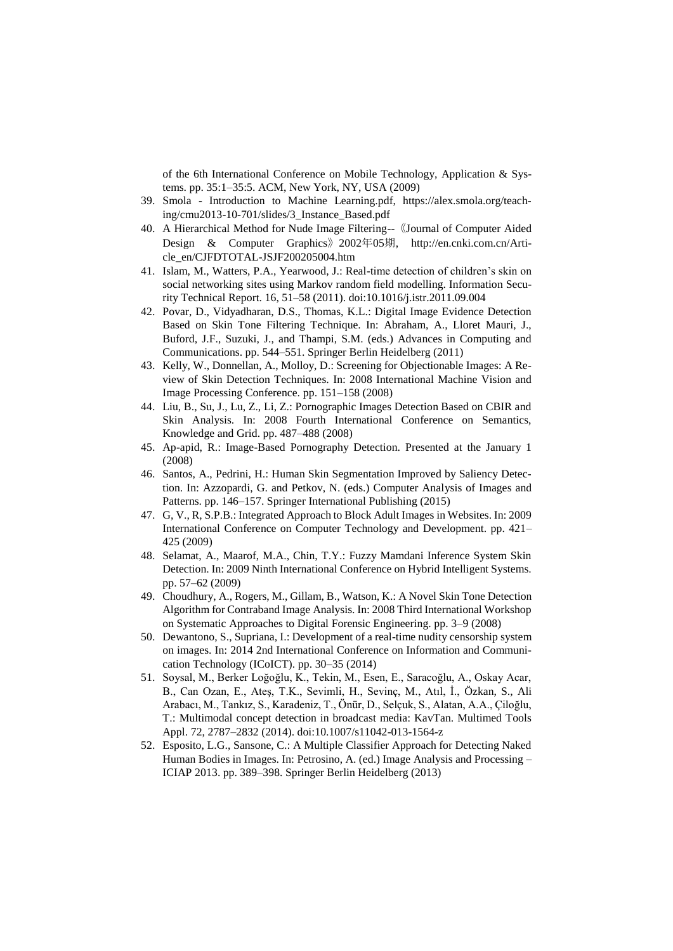of the 6th International Conference on Mobile Technology, Application & Systems. pp. 35:1–35:5. ACM, New York, NY, USA (2009)

- 39. Smola Introduction to Machine Learning.pdf, https://alex.smola.org/teaching/cmu2013-10-701/slides/3\_Instance\_Based.pdf
- 40. A Hierarchical Method for Nude Image Filtering--《Journal of Computer Aided Design & Computer Graphics》2002年05期, http://en.cnki.com.cn/Article\_en/CJFDTOTAL-JSJF200205004.htm
- 41. Islam, M., Watters, P.A., Yearwood, J.: Real-time detection of children's skin on social networking sites using Markov random field modelling. Information Security Technical Report. 16, 51–58 (2011). doi:10.1016/j.istr.2011.09.004
- 42. Povar, D., Vidyadharan, D.S., Thomas, K.L.: Digital Image Evidence Detection Based on Skin Tone Filtering Technique. In: Abraham, A., Lloret Mauri, J., Buford, J.F., Suzuki, J., and Thampi, S.M. (eds.) Advances in Computing and Communications. pp. 544–551. Springer Berlin Heidelberg (2011)
- 43. Kelly, W., Donnellan, A., Molloy, D.: Screening for Objectionable Images: A Review of Skin Detection Techniques. In: 2008 International Machine Vision and Image Processing Conference. pp. 151–158 (2008)
- 44. Liu, B., Su, J., Lu, Z., Li, Z.: Pornographic Images Detection Based on CBIR and Skin Analysis. In: 2008 Fourth International Conference on Semantics, Knowledge and Grid. pp. 487–488 (2008)
- 45. Ap-apid, R.: Image-Based Pornography Detection. Presented at the January 1 (2008)
- 46. Santos, A., Pedrini, H.: Human Skin Segmentation Improved by Saliency Detection. In: Azzopardi, G. and Petkov, N. (eds.) Computer Analysis of Images and Patterns. pp. 146–157. Springer International Publishing (2015)
- 47. G, V., R, S.P.B.: Integrated Approach to Block Adult Images in Websites. In: 2009 International Conference on Computer Technology and Development. pp. 421– 425 (2009)
- 48. Selamat, A., Maarof, M.A., Chin, T.Y.: Fuzzy Mamdani Inference System Skin Detection. In: 2009 Ninth International Conference on Hybrid Intelligent Systems. pp. 57–62 (2009)
- 49. Choudhury, A., Rogers, M., Gillam, B., Watson, K.: A Novel Skin Tone Detection Algorithm for Contraband Image Analysis. In: 2008 Third International Workshop on Systematic Approaches to Digital Forensic Engineering. pp. 3–9 (2008)
- 50. Dewantono, S., Supriana, I.: Development of a real-time nudity censorship system on images. In: 2014 2nd International Conference on Information and Communication Technology (ICoICT). pp. 30–35 (2014)
- 51. Soysal, M., Berker Loğoğlu, K., Tekin, M., Esen, E., Saracoğlu, A., Oskay Acar, B., Can Ozan, E., Ateş, T.K., Sevimli, H., Sevinç, M., Atıl, İ., Özkan, S., Ali Arabacı, M., Tankız, S., Karadeniz, T., Önür, D., Selçuk, S., Alatan, A.A., Çiloğlu, T.: Multimodal concept detection in broadcast media: KavTan. Multimed Tools Appl. 72, 2787–2832 (2014). doi:10.1007/s11042-013-1564-z
- 52. Esposito, L.G., Sansone, C.: A Multiple Classifier Approach for Detecting Naked Human Bodies in Images. In: Petrosino, A. (ed.) Image Analysis and Processing – ICIAP 2013. pp. 389–398. Springer Berlin Heidelberg (2013)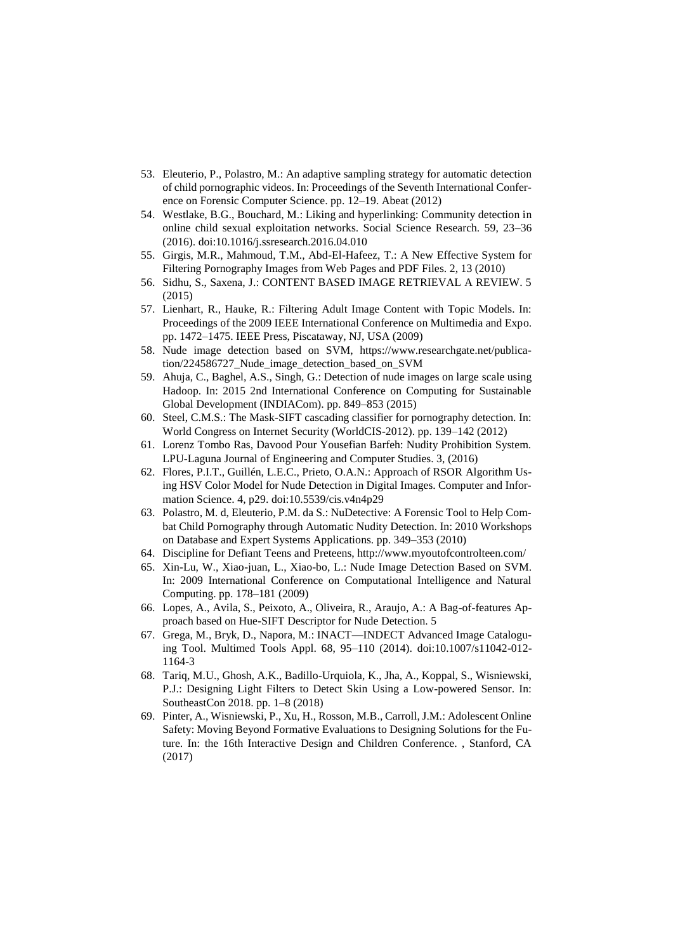- 53. Eleuterio, P., Polastro, M.: An adaptive sampling strategy for automatic detection of child pornographic videos. In: Proceedings of the Seventh International Conference on Forensic Computer Science. pp. 12–19. Abeat (2012)
- 54. Westlake, B.G., Bouchard, M.: Liking and hyperlinking: Community detection in online child sexual exploitation networks. Social Science Research. 59, 23–36 (2016). doi:10.1016/j.ssresearch.2016.04.010
- 55. Girgis, M.R., Mahmoud, T.M., Abd-El-Hafeez, T.: A New Effective System for Filtering Pornography Images from Web Pages and PDF Files. 2, 13 (2010)
- 56. Sidhu, S., Saxena, J.: CONTENT BASED IMAGE RETRIEVAL A REVIEW. 5 (2015)
- 57. Lienhart, R., Hauke, R.: Filtering Adult Image Content with Topic Models. In: Proceedings of the 2009 IEEE International Conference on Multimedia and Expo. pp. 1472–1475. IEEE Press, Piscataway, NJ, USA (2009)
- 58. Nude image detection based on SVM, https://www.researchgate.net/publication/224586727\_Nude\_image\_detection\_based\_on\_SVM
- 59. Ahuja, C., Baghel, A.S., Singh, G.: Detection of nude images on large scale using Hadoop. In: 2015 2nd International Conference on Computing for Sustainable Global Development (INDIACom). pp. 849–853 (2015)
- 60. Steel, C.M.S.: The Mask-SIFT cascading classifier for pornography detection. In: World Congress on Internet Security (WorldCIS-2012). pp. 139–142 (2012)
- 61. Lorenz Tombo Ras, Davood Pour Yousefian Barfeh: Nudity Prohibition System. LPU-Laguna Journal of Engineering and Computer Studies. 3, (2016)
- 62. Flores, P.I.T., Guillén, L.E.C., Prieto, O.A.N.: Approach of RSOR Algorithm Using HSV Color Model for Nude Detection in Digital Images. Computer and Information Science. 4, p29. doi:10.5539/cis.v4n4p29
- 63. Polastro, M. d, Eleuterio, P.M. da S.: NuDetective: A Forensic Tool to Help Combat Child Pornography through Automatic Nudity Detection. In: 2010 Workshops on Database and Expert Systems Applications. pp. 349–353 (2010)
- 64. Discipline for Defiant Teens and Preteens, http://www.myoutofcontrolteen.com/
- 65. Xin-Lu, W., Xiao-juan, L., Xiao-bo, L.: Nude Image Detection Based on SVM. In: 2009 International Conference on Computational Intelligence and Natural Computing. pp. 178–181 (2009)
- 66. Lopes, A., Avila, S., Peixoto, A., Oliveira, R., Araujo, A.: A Bag-of-features Approach based on Hue-SIFT Descriptor for Nude Detection. 5
- 67. Grega, M., Bryk, D., Napora, M.: INACT—INDECT Advanced Image Cataloguing Tool. Multimed Tools Appl. 68, 95–110 (2014). doi:10.1007/s11042-012- 1164-3
- 68. Tariq, M.U., Ghosh, A.K., Badillo-Urquiola, K., Jha, A., Koppal, S., Wisniewski, P.J.: Designing Light Filters to Detect Skin Using a Low-powered Sensor. In: SoutheastCon 2018. pp. 1–8 (2018)
- 69. Pinter, A., Wisniewski, P., Xu, H., Rosson, M.B., Carroll, J.M.: Adolescent Online Safety: Moving Beyond Formative Evaluations to Designing Solutions for the Future. In: the 16th Interactive Design and Children Conference. , Stanford, CA (2017)